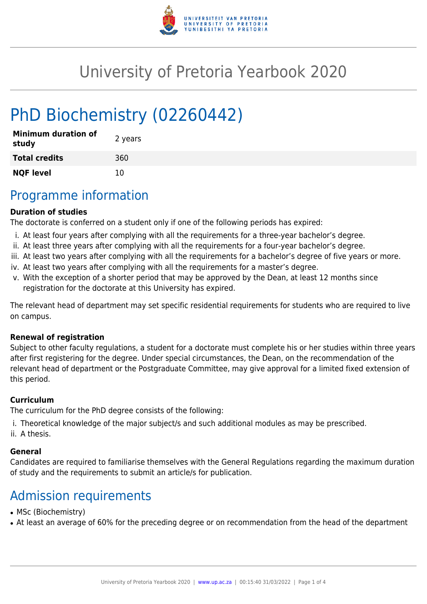

# University of Pretoria Yearbook 2020

# PhD Biochemistry (02260442)

| <b>Minimum duration of</b><br>study | 2 years |
|-------------------------------------|---------|
| <b>Total credits</b>                | 360     |
| <b>NQF level</b>                    | 10      |

## Programme information

#### **Duration of studies**

The doctorate is conferred on a student only if one of the following periods has expired:

- i. At least four years after complying with all the requirements for a three-year bachelor's degree.
- ii. At least three years after complying with all the requirements for a four-year bachelor's degree.
- iii. At least two years after complying with all the requirements for a bachelor's degree of five years or more.
- iv. At least two years after complying with all the requirements for a master's degree.
- v. With the exception of a shorter period that may be approved by the Dean, at least 12 months since registration for the doctorate at this University has expired.

The relevant head of department may set specific residential requirements for students who are required to live on campus.

#### **Renewal of registration**

Subject to other faculty regulations, a student for a doctorate must complete his or her studies within three years after first registering for the degree. Under special circumstances, the Dean, on the recommendation of the relevant head of department or the Postgraduate Committee, may give approval for a limited fixed extension of this period.

#### **Curriculum**

The curriculum for the PhD degree consists of the following:

- i. Theoretical knowledge of the major subject/s and such additional modules as may be prescribed.
- ii. A thesis.

#### **General**

Candidates are required to familiarise themselves with the General Regulations regarding the maximum duration of study and the requirements to submit an article/s for publication.

# Admission requirements

- MSc (Biochemistry)
- At least an average of 60% for the preceding degree or on recommendation from the head of the department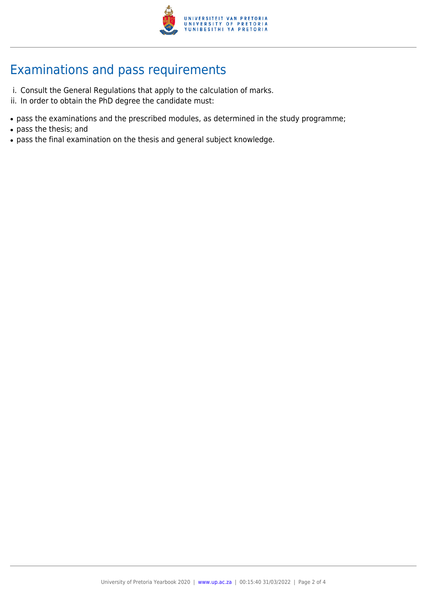

# Examinations and pass requirements

- i. Consult the General Regulations that apply to the calculation of marks.
- ii. In order to obtain the PhD degree the candidate must:
- pass the examinations and the prescribed modules, as determined in the study programme;
- pass the thesis; and
- pass the final examination on the thesis and general subject knowledge.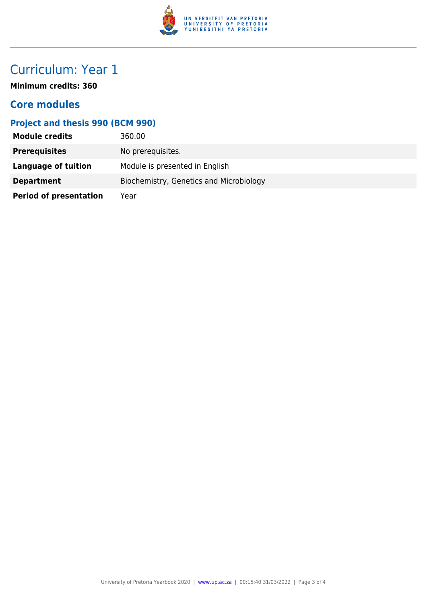

# Curriculum: Year 1

**Minimum credits: 360**

### **Core modules**

### **Project and thesis 990 (BCM 990)**

| <b>Module credits</b>         | 360.00                                  |
|-------------------------------|-----------------------------------------|
| <b>Prerequisites</b>          | No prerequisites.                       |
| <b>Language of tuition</b>    | Module is presented in English          |
| <b>Department</b>             | Biochemistry, Genetics and Microbiology |
| <b>Period of presentation</b> | Year                                    |